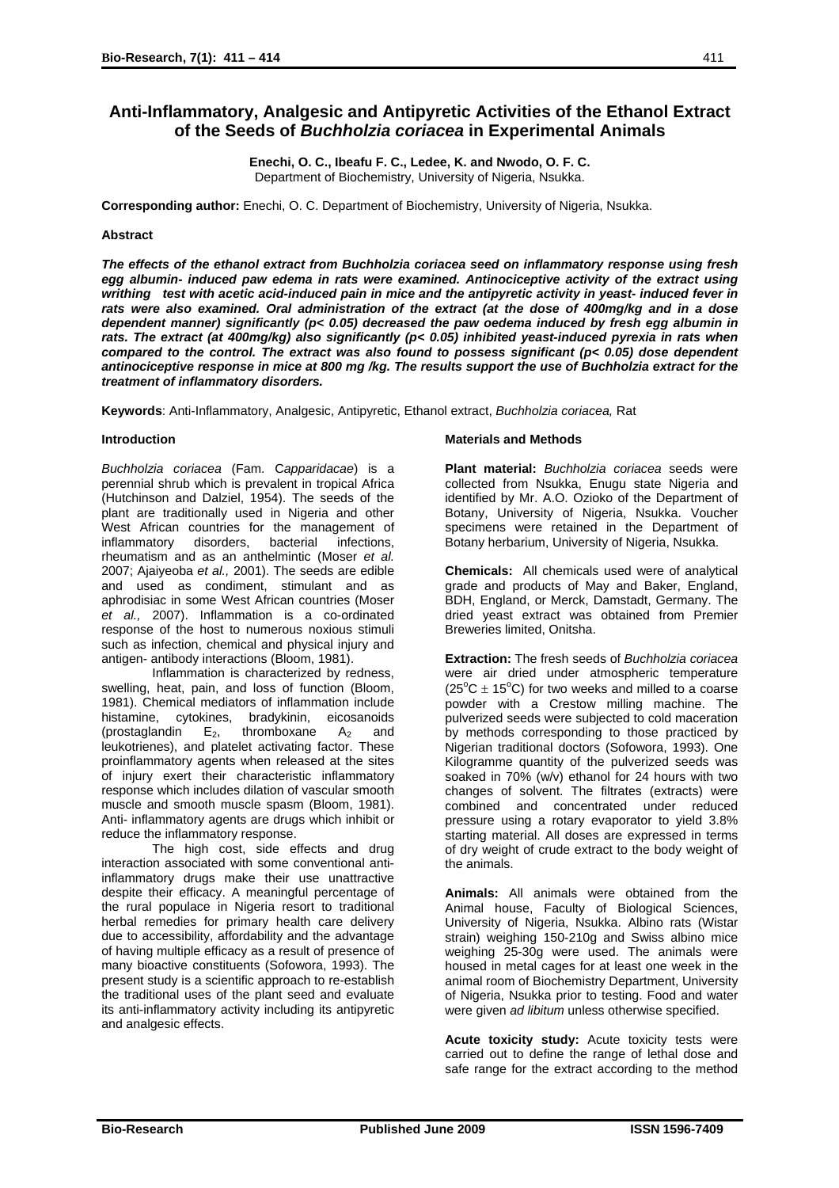# **Anti-Inflammatory, Analgesic and Antipyretic Activities of the Ethanol Extract of the Seeds of** *Buchholzia coriacea* **in Experimental Animals**

**Enechi, O. C., Ibeafu F. C., Ledee, K. and Nwodo, O. F. C.**  Department of Biochemistry, University of Nigeria, Nsukka.

**Corresponding author:** Enechi, O. C. Department of Biochemistry, University of Nigeria, Nsukka.

# **Abstract**

*The effects of the ethanol extract from Buchholzia coriacea seed on inflammatory response using fresh egg albumin- induced paw edema in rats were examined. Antinociceptive activity of the extract using writhing test with acetic acid-induced pain in mice and the antipyretic activity in yeast- induced fever in rats were also examined. Oral administration of the extract (at the dose of 400mg/kg and in a dose dependent manner) significantly (p< 0.05) decreased the paw oedema induced by fresh egg albumin in rats. The extract (at 400mg/kg) also significantly (p< 0.05) inhibited yeast-induced pyrexia in rats when compared to the control. The extract was also found to possess significant (p< 0.05) dose dependent antinociceptive response in mice at 800 mg /kg. The results support the use of Buchholzia extract for the treatment of inflammatory disorders.* 

**Keywords**: Anti-Inflammatory, Analgesic, Antipyretic, Ethanol extract, *Buchholzia coriacea,* Rat

### **Introduction**

*Buchholzia coriacea* (Fam. C*apparidacae*) is a perennial shrub which is prevalent in tropical Africa (Hutchinson and Dalziel, 1954). The seeds of the plant are traditionally used in Nigeria and other West African countries for the management of inflammatory disorders, bacterial infections, rheumatism and as an anthelmintic (Moser *et al.* 2007; Ajaiyeoba *et al.,* 2001). The seeds are edible and used as condiment, stimulant and as aphrodisiac in some West African countries (Moser *et al.,* 2007). Inflammation is a co-ordinated response of the host to numerous noxious stimuli such as infection, chemical and physical injury and antigen- antibody interactions (Bloom, 1981).

Inflammation is characterized by redness, swelling, heat, pain, and loss of function (Bloom, 1981). Chemical mediators of inflammation include histamine, cytokines, bradykinin, eicosanoids (prostaglandin  $E_2$ , thromboxane  $A_2$  and leukotrienes), and platelet activating factor. These proinflammatory agents when released at the sites of injury exert their characteristic inflammatory response which includes dilation of vascular smooth muscle and smooth muscle spasm (Bloom, 1981). Anti- inflammatory agents are drugs which inhibit or reduce the inflammatory response.

The high cost, side effects and drug interaction associated with some conventional antiinflammatory drugs make their use unattractive despite their efficacy. A meaningful percentage of the rural populace in Nigeria resort to traditional herbal remedies for primary health care delivery due to accessibility, affordability and the advantage of having multiple efficacy as a result of presence of many bioactive constituents (Sofowora, 1993). The present study is a scientific approach to re-establish the traditional uses of the plant seed and evaluate its anti-inflammatory activity including its antipyretic and analgesic effects.

#### **Materials and Methods**

**Plant material:** *Buchholzia coriacea* seeds were collected from Nsukka, Enugu state Nigeria and identified by Mr. A.O. Ozioko of the Department of Botany, University of Nigeria, Nsukka. Voucher specimens were retained in the Department of Botany herbarium, University of Nigeria, Nsukka.

**Chemicals:** All chemicals used were of analytical grade and products of May and Baker, England, BDH, England, or Merck, Damstadt, Germany. The dried yeast extract was obtained from Premier Breweries limited, Onitsha.

**Extraction:** The fresh seeds of *Buchholzia coriacea* were air dried under atmospheric temperature  $(25^{\circ}$ C  $\pm$  15<sup>o</sup>C) for two weeks and milled to a coarse powder with a Crestow milling machine. The pulverized seeds were subjected to cold maceration by methods corresponding to those practiced by Nigerian traditional doctors (Sofowora, 1993). One Kilogramme quantity of the pulverized seeds was soaked in 70% (w/v) ethanol for 24 hours with two changes of solvent. The filtrates (extracts) were combined and concentrated under reduced pressure using a rotary evaporator to yield 3.8% starting material. All doses are expressed in terms of dry weight of crude extract to the body weight of the animals.

**Animals:** All animals were obtained from the Animal house, Faculty of Biological Sciences, University of Nigeria, Nsukka. Albino rats (Wistar strain) weighing 150-210g and Swiss albino mice weighing 25-30g were used. The animals were housed in metal cages for at least one week in the animal room of Biochemistry Department, University of Nigeria, Nsukka prior to testing. Food and water were given *ad libitum* unless otherwise specified.

**Acute toxicity study:** Acute toxicity tests were carried out to define the range of lethal dose and safe range for the extract according to the method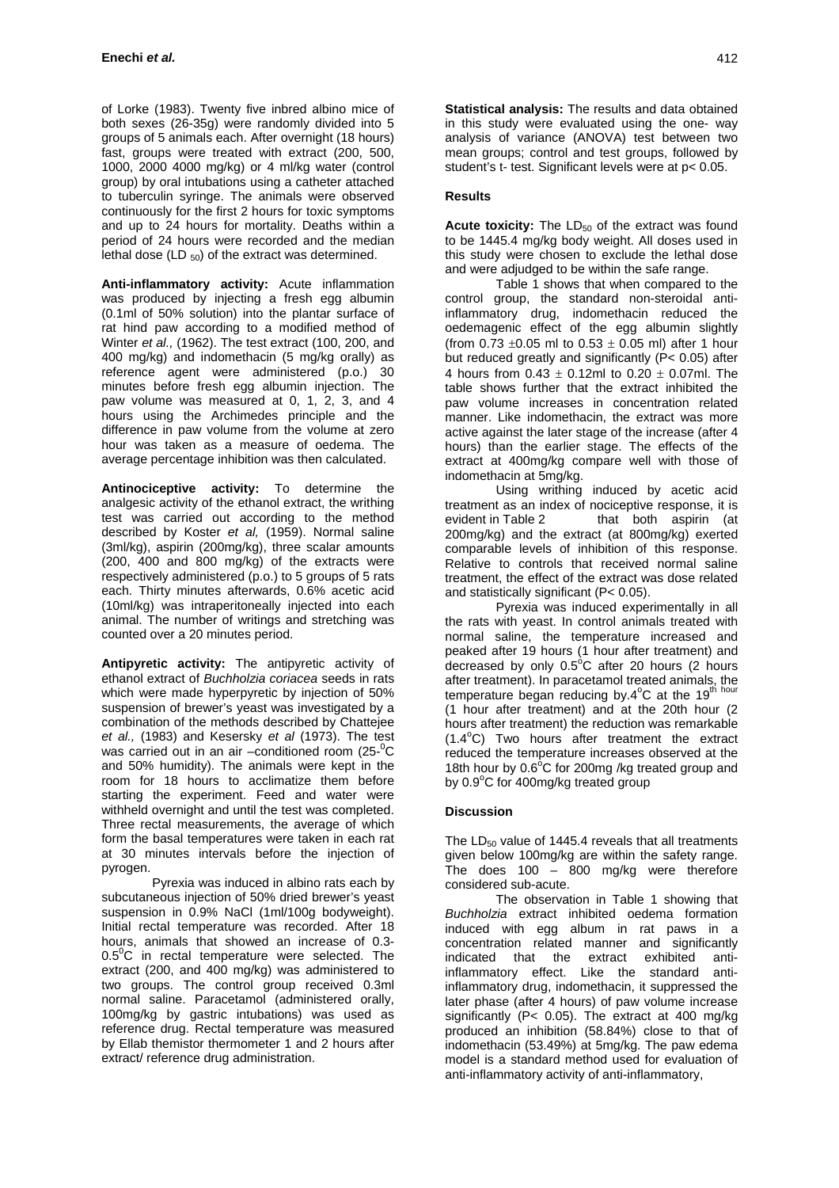of Lorke (1983). Twenty five inbred albino mice of both sexes (26-35g) were randomly divided into 5 groups of 5 animals each. After overnight (18 hours) fast, groups were treated with extract (200, 500, 1000, 2000 4000 mg/kg) or 4 ml/kg water (control group) by oral intubations using a catheter attached to tuberculin syringe. The animals were observed continuously for the first 2 hours for toxic symptoms and up to 24 hours for mortality. Deaths within a period of 24 hours were recorded and the median lethal dose (LD  $_{50}$ ) of the extract was determined.

**Anti-inflammatory activity:** Acute inflammation was produced by injecting a fresh egg albumin (0.1ml of 50% solution) into the plantar surface of rat hind paw according to a modified method of Winter *et al.,* (1962). The test extract (100, 200, and 400 mg/kg) and indomethacin (5 mg/kg orally) as reference agent were administered (p.o.) 30 minutes before fresh egg albumin injection. The paw volume was measured at 0, 1, 2, 3, and 4 hours using the Archimedes principle and the difference in paw volume from the volume at zero hour was taken as a measure of oedema. The average percentage inhibition was then calculated.

**Antinociceptive activity:** To determine the analgesic activity of the ethanol extract, the writhing test was carried out according to the method described by Koster *et al,* (1959). Normal saline (3ml/kg), aspirin (200mg/kg), three scalar amounts (200, 400 and 800 mg/kg) of the extracts were respectively administered (p.o.) to 5 groups of 5 rats each. Thirty minutes afterwards, 0.6% acetic acid (10ml/kg) was intraperitoneally injected into each animal. The number of writings and stretching was counted over a 20 minutes period.

**Antipyretic activity:** The antipyretic activity of ethanol extract of *Buchholzia coriacea* seeds in rats which were made hyperpyretic by injection of 50% suspension of brewer's yeast was investigated by a combination of the methods described by Chattejee *et al.,* (1983) and Kesersky *et al* (1973). The test was carried out in an air -conditioned room (25-<sup>0</sup>C and 50% humidity). The animals were kept in the room for 18 hours to acclimatize them before starting the experiment. Feed and water were withheld overnight and until the test was completed. Three rectal measurements, the average of which form the basal temperatures were taken in each rat at 30 minutes intervals before the injection of pyrogen.

Pyrexia was induced in albino rats each by subcutaneous injection of 50% dried brewer's yeast suspension in 0.9% NaCl (1ml/100g bodyweight). Initial rectal temperature was recorded. After 18 hours, animals that showed an increase of 0.3-  $0.5^0$ C in rectal temperature were selected. The extract (200, and 400 mg/kg) was administered to two groups. The control group received 0.3ml normal saline. Paracetamol (administered orally, 100mg/kg by gastric intubations) was used as reference drug. Rectal temperature was measured by Ellab themistor thermometer 1 and 2 hours after extract/ reference drug administration.

**Statistical analysis:** The results and data obtained in this study were evaluated using the one- way analysis of variance (ANOVA) test between two mean groups; control and test groups, followed by student's t- test. Significant levels were at p< 0.05.

# **Results**

Acute toxicity: The LD<sub>50</sub> of the extract was found to be 1445.4 mg/kg body weight. All doses used in this study were chosen to exclude the lethal dose and were adjudged to be within the safe range.

Table 1 shows that when compared to the control group, the standard non-steroidal antiinflammatory drug, indomethacin reduced the oedemagenic effect of the egg albumin slightly (from 0.73  $\pm$ 0.05 ml to 0.53  $\pm$  0.05 ml) after 1 hour but reduced greatly and significantly (P< 0.05) after 4 hours from  $0.43 + 0.12$ ml to  $0.20 + 0.07$ ml. The table shows further that the extract inhibited the paw volume increases in concentration related manner. Like indomethacin, the extract was more active against the later stage of the increase (after 4 hours) than the earlier stage. The effects of the extract at 400mg/kg compare well with those of indomethacin at 5mg/kg.

Using writhing induced by acetic acid treatment as an index of nociceptive response, it is evident in Table 2 that both aspirin (at 200mg/kg) and the extract (at 800mg/kg) exerted comparable levels of inhibition of this response. Relative to controls that received normal saline treatment, the effect of the extract was dose related and statistically significant (P< 0.05).

Pyrexia was induced experimentally in all the rats with yeast. In control animals treated with normal saline, the temperature increased and peaked after 19 hours (1 hour after treatment) and decreased by only  $0.5^{\circ}$ C after 20 hours (2 hours after treatment). In paracetamol treated animals, the temperature began reducing by.4°C at the 19<sup>th hour</sup> (1 hour after treatment) and at the 20th hour (2 hours after treatment) the reduction was remarkable  $(1.4^{\circ}$ C) Two hours after treatment the extract reduced the temperature increases observed at the 18th hour by  $0.6^{\circ}$ C for 200mg /kg treated group and by 0.9°C for 400mg/kg treated group

### **Discussion**

The  $LD_{50}$  value of 1445.4 reveals that all treatments given below 100mg/kg are within the safety range. The does 100 – 800 mg/kg were therefore considered sub-acute.

The observation in Table 1 showing that *Buchholzia* extract inhibited oedema formation induced with egg album in rat paws in a concentration related manner and significantly indicated that the extract exhibited antiinflammatory effect. Like the standard antiinflammatory drug, indomethacin, it suppressed the later phase (after 4 hours) of paw volume increase significantly (P< 0.05). The extract at 400 mg/kg produced an inhibition (58.84%) close to that of indomethacin (53.49%) at 5mg/kg. The paw edema model is a standard method used for evaluation of anti-inflammatory activity of anti-inflammatory,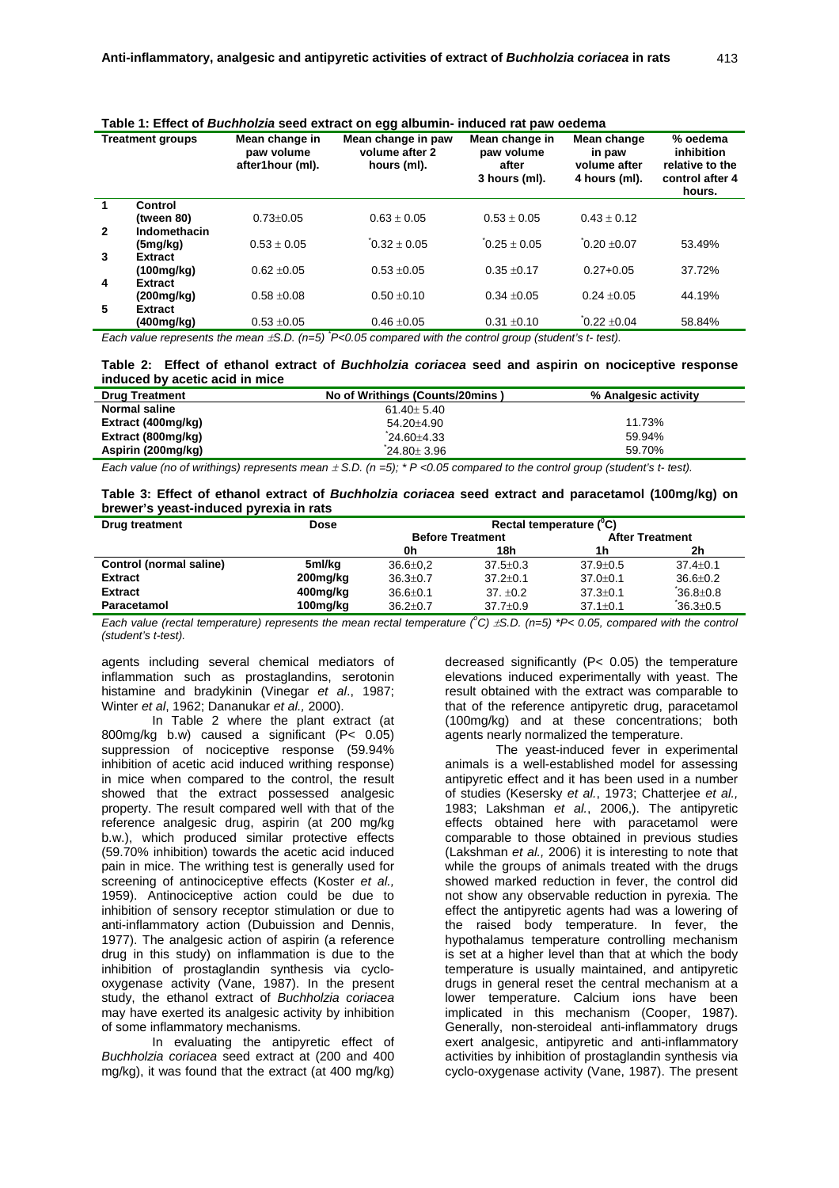| rable T. Lifect of <i>Duchfloizia</i> seed extract on egg abunnin- muuceu fat paw oedenia |                |                                                  |                                                     |                                                        |                                                        |                                                                        |  |  |  |
|-------------------------------------------------------------------------------------------|----------------|--------------------------------------------------|-----------------------------------------------------|--------------------------------------------------------|--------------------------------------------------------|------------------------------------------------------------------------|--|--|--|
| <b>Treatment groups</b>                                                                   |                | Mean change in<br>paw volume<br>after1hour (ml). | Mean change in paw<br>volume after 2<br>hours (ml). | Mean change in<br>paw volume<br>after<br>3 hours (ml). | Mean change<br>in paw<br>volume after<br>4 hours (ml). | % oedema<br>inhibition<br>relative to the<br>control after 4<br>hours. |  |  |  |
|                                                                                           | Control        |                                                  |                                                     |                                                        |                                                        |                                                                        |  |  |  |
|                                                                                           | (tween 80)     | $0.73 + 0.05$                                    | $0.63 \pm 0.05$                                     | $0.53 + 0.05$                                          | $0.43 + 0.12$                                          |                                                                        |  |  |  |
| $\mathbf{2}$                                                                              | Indomethacin   |                                                  |                                                     |                                                        |                                                        |                                                                        |  |  |  |
|                                                                                           | (5mg/kg)       | $0.53 + 0.05$                                    | $0.32 + 0.05$                                       | $0.25 \pm 0.05$                                        | $0.20 + 0.07$                                          | 53.49%                                                                 |  |  |  |
| 3                                                                                         | <b>Extract</b> |                                                  |                                                     |                                                        |                                                        |                                                                        |  |  |  |
|                                                                                           | (100mg/kg)     | $0.62 + 0.05$                                    | $0.53 + 0.05$                                       | $0.35 + 0.17$                                          | $0.27 + 0.05$                                          | 37.72%                                                                 |  |  |  |
| 4                                                                                         | <b>Extract</b> |                                                  |                                                     |                                                        |                                                        |                                                                        |  |  |  |
|                                                                                           | (200mg/kg)     | $0.58 + 0.08$                                    | $0.50 \pm 0.10$                                     | $0.34 + 0.05$                                          | $0.24 + 0.05$                                          | 44.19%                                                                 |  |  |  |
| 5                                                                                         | <b>Extract</b> |                                                  |                                                     |                                                        |                                                        |                                                                        |  |  |  |
|                                                                                           | (400mg/kg)     | $0.53 + 0.05$                                    | $0.46 \pm 0.05$                                     | $0.31 \pm 0.10$                                        | $0.22 + 0.04$                                          | 58.84%                                                                 |  |  |  |
|                                                                                           |                |                                                  |                                                     |                                                        |                                                        |                                                                        |  |  |  |

# **Table 1: Effect of** *Buchholzia* **seed extract on egg albumin- induced rat paw oedema**

*Each value represents the mean*  $\pm$ *S.D.* ( $n=5$ )  $P<0.05$  compared with the control group (student's t-test).

**Table 2: Effect of ethanol extract of** *Buchholzia coriacea* **seed and aspirin on nociceptive response induced by acetic acid in mice** 

| <b>Drug Treatment</b> | No of Writhings (Counts/20mins) | % Analgesic activity |  |  |
|-----------------------|---------------------------------|----------------------|--|--|
| Normal saline         | $61.40 + 5.40$                  |                      |  |  |
| Extract (400mg/kg)    | 54.20±4.90                      | 11.73%               |  |  |
| Extract (800mg/kg)    | 24.60 ± 4.33                    | 59.94%               |  |  |
| Aspirin (200mg/kg)    | $24.80 + 3.96$                  | 59.70%               |  |  |

*Each value (no of writhings) represents mean*  $\pm$  *S.D. (n =5); \* P <0.05 compared to the control group (student's t- test).* 

**Table 3: Effect of ethanol extract of** *Buchholzia coriacea* **seed extract and paracetamol (100mg/kg) on brewer's yeast-induced pyrexia in rats** 

| <b>Drug treatment</b>   | <b>Dose</b> | Rectal temperature ( <sup>°</sup> C) |                |                        |                |  |
|-------------------------|-------------|--------------------------------------|----------------|------------------------|----------------|--|
|                         |             | <b>Before Treatment</b>              |                | <b>After Treatment</b> |                |  |
|                         |             | 0h                                   | 18h            | 1h                     | 2h             |  |
| Control (normal saline) | 5ml/kg      | $36.6 \pm 0.2$                       | $37.5 + 0.3$   | $37.9 \pm 0.5$         | $37.4 + 0.1$   |  |
| <b>Extract</b>          | 200mg/kg    | $36.3 \pm 0.7$                       | $37.2 + 0.1$   | $37.0 + 0.1$           | $36.6 + 0.2$   |  |
| <b>Extract</b>          | 400mg/kg    | $36.6 \pm 0.1$                       | $37. +0.2$     | $37.3 + 0.1$           | $36.8 \pm 0.8$ |  |
| Paracetamol             | 100mg/kg    | $36.2 \pm 0.7$                       | $37.7 \pm 0.9$ | $37.1 \pm 0.1$         | $36.3 \pm 0.5$ |  |

*Each value (rectal temperature) represents the mean rectal temperature*  $^{\circ}$ *C)*  $\pm$ S.D. (n=5) \*P< 0.05, compared with the control *(student's t-test).* 

agents including several chemical mediators of inflammation such as prostaglandins, serotonin histamine and bradykinin (Vinegar *et al*., 1987; Winter *et al*, 1962; Dananukar *et al.,* 2000).

In Table 2 where the plant extract (at 800mg/kg b.w) caused a significant (P< 0.05) suppression of nociceptive response (59.94% inhibition of acetic acid induced writhing response) in mice when compared to the control, the result showed that the extract possessed analgesic property. The result compared well with that of the reference analgesic drug, aspirin (at 200 mg/kg b.w.), which produced similar protective effects (59.70% inhibition) towards the acetic acid induced pain in mice. The writhing test is generally used for screening of antinociceptive effects (Koster *et al.,* 1959). Antinociceptive action could be due to inhibition of sensory receptor stimulation or due to anti-inflammatory action (Dubuission and Dennis, 1977). The analgesic action of aspirin (a reference drug in this study) on inflammation is due to the inhibition of prostaglandin synthesis via cyclooxygenase activity (Vane, 1987). In the present study, the ethanol extract of *Buchholzia coriacea* may have exerted its analgesic activity by inhibition of some inflammatory mechanisms.

In evaluating the antipyretic effect of *Buchholzia coriacea* seed extract at (200 and 400 mg/kg), it was found that the extract (at 400 mg/kg) decreased significantly (P< 0.05) the temperature elevations induced experimentally with yeast. The result obtained with the extract was comparable to that of the reference antipyretic drug, paracetamol (100mg/kg) and at these concentrations; both agents nearly normalized the temperature.

The yeast-induced fever in experimental animals is a well-established model for assessing antipyretic effect and it has been used in a number of studies (Kesersky *et al.*, 1973; Chatterjee *et al.,* 1983; Lakshman *et al.*, 2006,). The antipyretic effects obtained here with paracetamol were comparable to those obtained in previous studies (Lakshman *et al.,* 2006) it is interesting to note that while the groups of animals treated with the drugs showed marked reduction in fever, the control did not show any observable reduction in pyrexia. The effect the antipyretic agents had was a lowering of the raised body temperature. In fever, the hypothalamus temperature controlling mechanism is set at a higher level than that at which the body temperature is usually maintained, and antipyretic drugs in general reset the central mechanism at a lower temperature. Calcium ions have been implicated in this mechanism (Cooper, 1987). Generally, non-steroideal anti-inflammatory drugs exert analgesic, antipyretic and anti-inflammatory activities by inhibition of prostaglandin synthesis via cyclo-oxygenase activity (Vane, 1987). The present